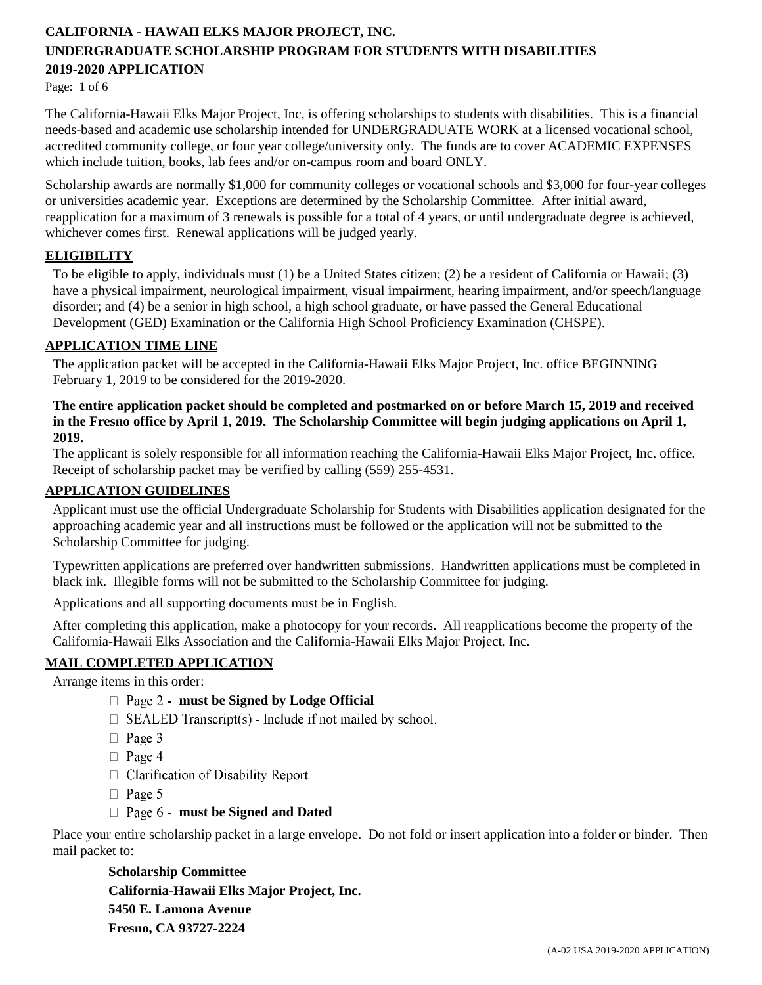Page: 1 of 6

The California-Hawaii Elks Major Project, Inc, is offering scholarships to students with disabilities. This is a financial needs-based and academic use scholarship intended for UNDERGRADUATE WORK at a licensed vocational school, accredited community college, or four year college/university only. The funds are to cover ACADEMIC EXPENSES which include tuition, books, lab fees and/or on-campus room and board ONLY.

Scholarship awards are normally \$1,000 for community colleges or vocational schools and \$3,000 for four-year colleges or universities academic year. Exceptions are determined by the Scholarship Committee. After initial award, reapplication for a maximum of 3 renewals is possible for a total of 4 years, or until undergraduate degree is achieved, whichever comes first. Renewal applications will be judged yearly.

## **ELIGIBILITY**

To be eligible to apply, individuals must (1) be a United States citizen; (2) be a resident of California or Hawaii; (3) have a physical impairment, neurological impairment, visual impairment, hearing impairment, and/or speech/language disorder; and (4) be a senior in high school, a high school graduate, or have passed the General Educational Development (GED) Examination or the California High School Proficiency Examination (CHSPE).

## **APPLICATION TIME LINE**

The application packet will be accepted in the California-Hawaii Elks Major Project, Inc. office BEGINNING February 1, 2019 to be considered for the 2019-2020.

### **The entire application packet should be completed and postmarked on or before March 15, 2019 and received in the Fresno office by April 1, 2019. The Scholarship Committee will begin judging applications on April 1, 2019.**

The applicant is solely responsible for all information reaching the California-Hawaii Elks Major Project, Inc. office. Receipt of scholarship packet may be verified by calling (559) 255-4531.

### **APPLICATION GUIDELINES**

Applicant must use the official Undergraduate Scholarship for Students with Disabilities application designated for the approaching academic year and all instructions must be followed or the application will not be submitted to the Scholarship Committee for judging.

Typewritten applications are preferred over handwritten submissions. Handwritten applications must be completed in black ink. Illegible forms will not be submitted to the Scholarship Committee for judging.

Applications and all supporting documents must be in English.

After completing this application, make a photocopy for your records. All reapplications become the property of the California-Hawaii Elks Association and the California-Hawaii Elks Major Project, Inc.

## **MAIL COMPLETED APPLICATION**

Arrange items in this order:

- **must be Signed by Lodge Official**
- $\Box$  SEALED Transcript(s) Include if not mailed by school.
- $\Box$  Page 3
- $\Box$  Page 4
- $\Box$  Clarification of Disability Report
- $\Box$  Page 5
- **must be Signed and Dated**

Place your entire scholarship packet in a large envelope. Do not fold or insert application into a folder or binder. Then mail packet to:

**Scholarship Committee California-Hawaii Elks Major Project, Inc. 5450 E. Lamona Avenue Fresno, CA 93727-2224**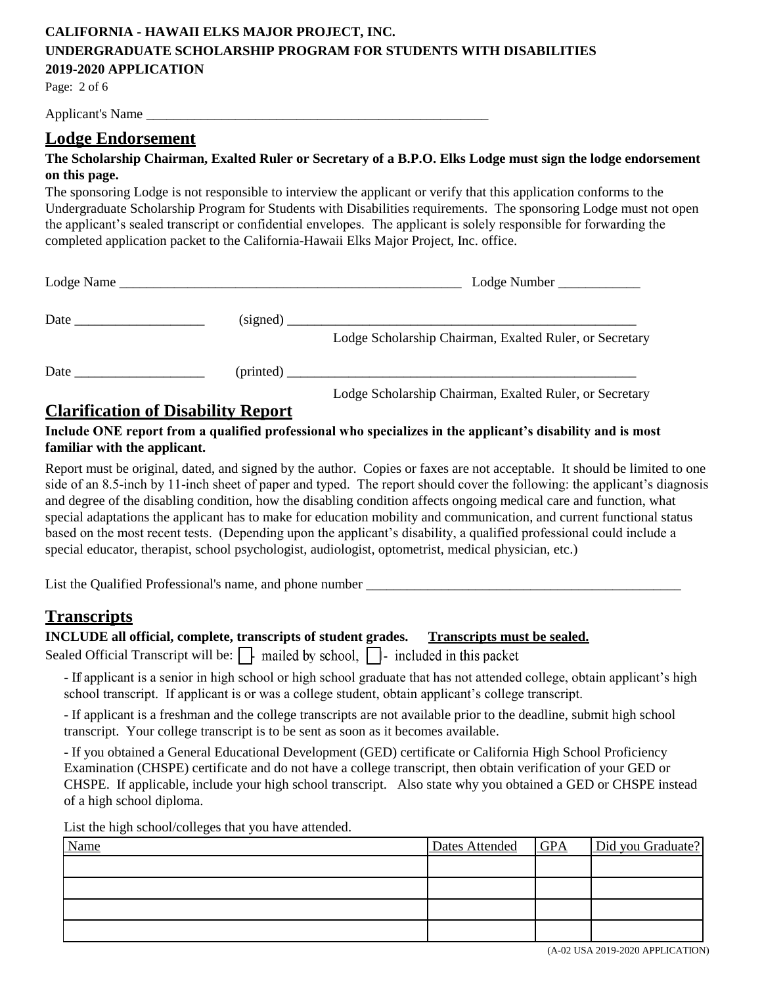Page: 2 of 6

Applicant's Name

# **Lodge Endorsement**

## **The Scholarship Chairman, Exalted Ruler or Secretary of a B.P.O. Elks Lodge must sign the lodge endorsement on this page.**

The sponsoring Lodge is not responsible to interview the applicant or verify that this application conforms to the Undergraduate Scholarship Program for Students with Disabilities requirements. The sponsoring Lodge must not open the applicant's sealed transcript or confidential envelopes. The applicant is solely responsible for forwarding the completed application packet to the California-Hawaii Elks Major Project, Inc. office.

|  | $\text{Lodge Number}$                                   |
|--|---------------------------------------------------------|
|  | $\left(\text{signed}\right)$                            |
|  | Lodge Scholarship Chairman, Exalted Ruler, or Secretary |
|  |                                                         |
|  | Lodge Scholarship Chairman, Exalted Ruler, or Secretary |

# **Clarification of Disability Report**

## **Include ONE report from a qualified professional who specializes in the applicant's disability and is most familiar with the applicant.**

Report must be original, dated, and signed by the author. Copies or faxes are not acceptable. It should be limited to one side of an 8.5-inch by 11-inch sheet of paper and typed. The report should cover the following: the applicant's diagnosis and degree of the disabling condition, how the disabling condition affects ongoing medical care and function, what special adaptations the applicant has to make for education mobility and communication, and current functional status based on the most recent tests. (Depending upon the applicant's disability, a qualified professional could include a special educator, therapist, school psychologist, audiologist, optometrist, medical physician, etc.)

List the Qualified Professional's name, and phone number \_\_\_\_\_\_\_\_\_\_\_\_\_\_\_\_\_\_\_\_\_\_\_\_

# **Transcripts**

#### **INCLUDE all official, complete, transcripts of student grades. Transcripts must be sealed.**

Sealed Official Transcript will be:  $\Box$  mailed by school,  $\Box$  included in this packet

- If applicant is a senior in high school or high school graduate that has not attended college, obtain applicant's high school transcript. If applicant is or was a college student, obtain applicant's college transcript.

- If applicant is a freshman and the college transcripts are not available prior to the deadline, submit high school transcript. Your college transcript is to be sent as soon as it becomes available.

- If you obtained a General Educational Development (GED) certificate or California High School Proficiency Examination (CHSPE) certificate and do not have a college transcript, then obtain verification of your GED or CHSPE. If applicable, include your high school transcript. Also state why you obtained a GED or CHSPE instead of a high school diploma.

List the high school/colleges that you have attended.

| <b>Name</b> | Dates Attended GPA | Did you Graduate? |
|-------------|--------------------|-------------------|
|             |                    |                   |
|             |                    |                   |
|             |                    |                   |
|             |                    |                   |

(A-02 USA 2019-2020 APPLICATION)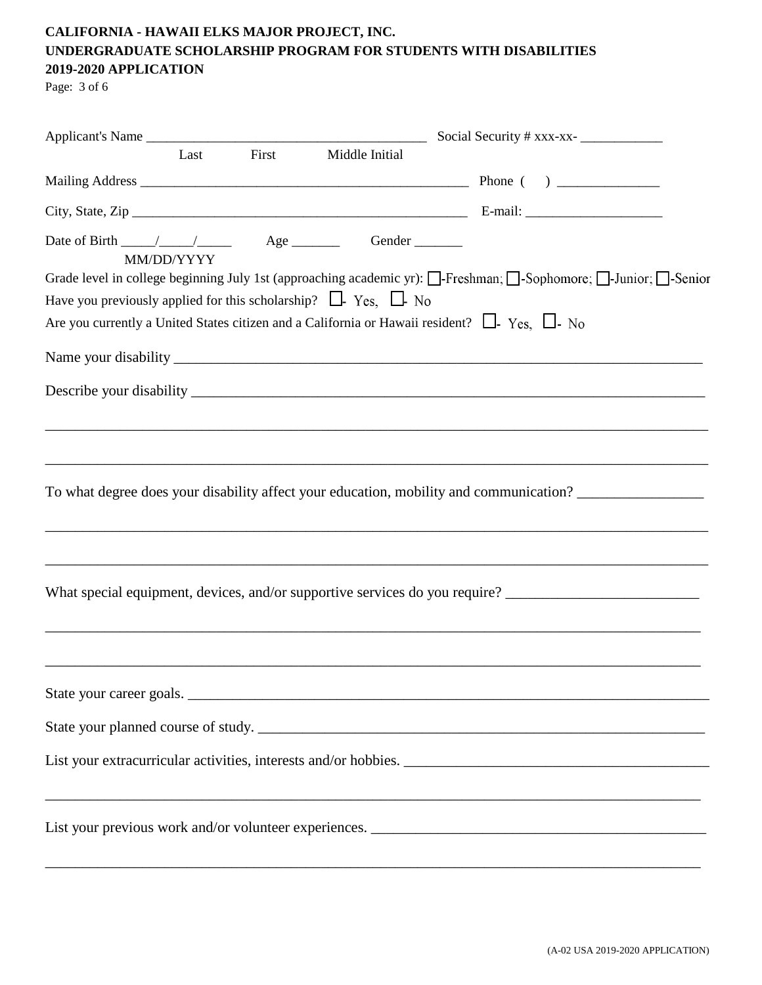Page: 3 of 6

|                                                                         | Last       | First Middle Initial |                                                                                                                                                                                                          |
|-------------------------------------------------------------------------|------------|----------------------|----------------------------------------------------------------------------------------------------------------------------------------------------------------------------------------------------------|
|                                                                         |            |                      |                                                                                                                                                                                                          |
|                                                                         |            |                      |                                                                                                                                                                                                          |
|                                                                         | MM/DD/YYYY |                      | Grade level in college beginning July 1st (approaching academic yr): [ Freshman; [ Sophomore; [ J-Junior; [ Senior                                                                                       |
| Have you previously applied for this scholarship? $\Box$ Yes, $\Box$ No |            |                      |                                                                                                                                                                                                          |
|                                                                         |            |                      | Are you currently a United States citizen and a California or Hawaii resident? $\Box$ - Yes, $\Box$ - No                                                                                                 |
|                                                                         |            |                      |                                                                                                                                                                                                          |
|                                                                         |            |                      |                                                                                                                                                                                                          |
|                                                                         |            |                      | To what degree does your disability affect your education, mobility and communication?<br>What special equipment, devices, and/or supportive services do you require? __________________________________ |
|                                                                         |            |                      | State your career goals.                                                                                                                                                                                 |
|                                                                         |            |                      |                                                                                                                                                                                                          |
|                                                                         |            |                      |                                                                                                                                                                                                          |
|                                                                         |            |                      | ,我们也不能在这里的人,我们也不能在这里的人,我们也不能在这里的人,我们也不能在这里的人,我们也不能在这里的人,我们也不能在这里的人,我们也不能在这里的人,我们也                                                                                                                        |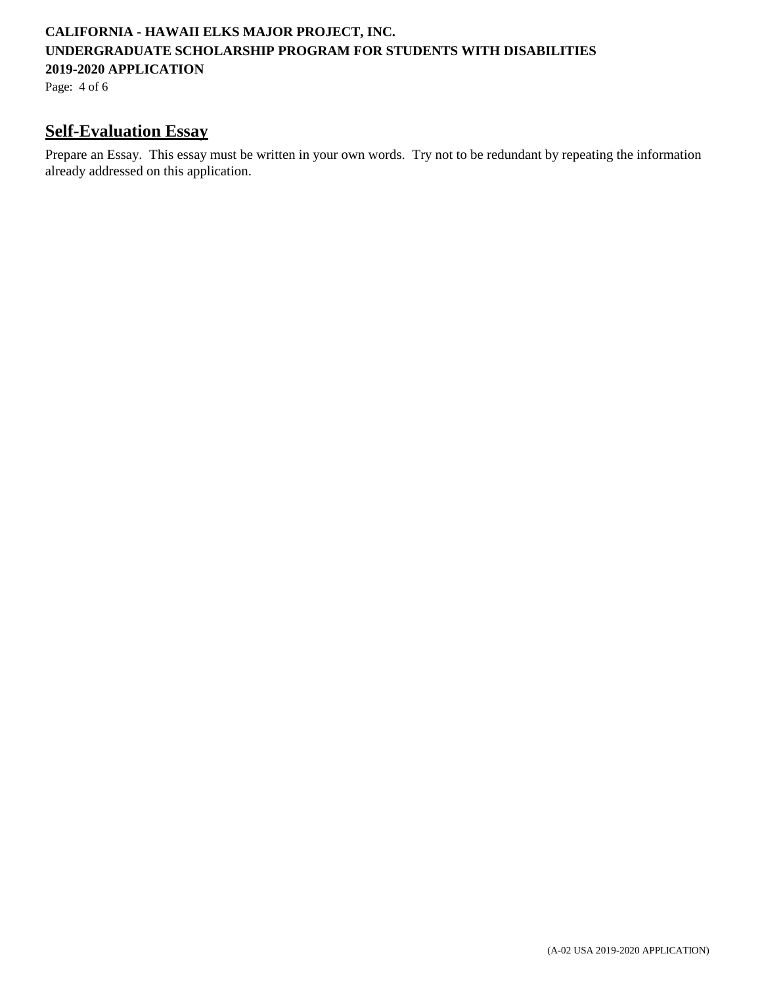Page: 4 of 6

# **Self-Evaluation Essay**

Prepare an Essay. This essay must be written in your own words. Try not to be redundant by repeating the information already addressed on this application.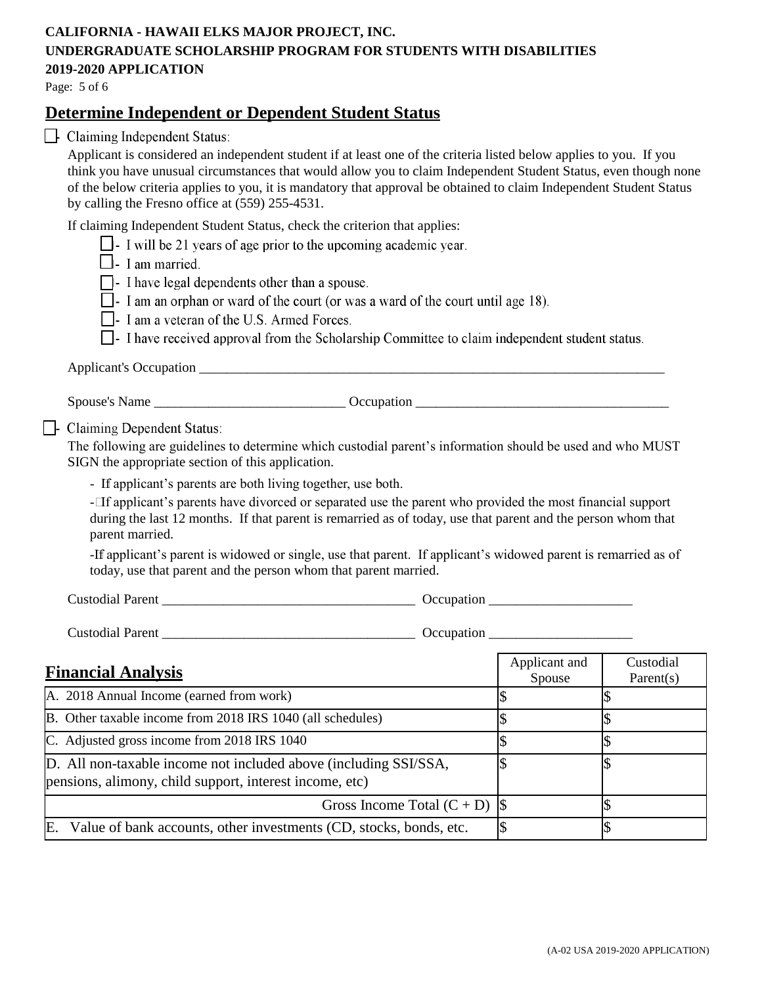Page: 5 of 6

# **Determine Independent or Dependent Student Status**

 $\Box$  Claiming Independent Status:

Applicant is considered an independent student if at least one of the criteria listed below applies to you. If you think you have unusual circumstances that would allow you to claim Independent Student Status, even though none of the below criteria applies to you, it is mandatory that approval be obtained to claim Independent Student Status by calling the Fresno office at (559) 255-4531.

If claiming Independent Student Status, check the criterion that applies:

- $\Box$  I will be 21 years of age prior to the upcoming academic year.
- $\Box$  I am married.
- $\Box$  I have legal dependents other than a spouse.
- $\Box$  I am an orphan or ward of the court (or was a ward of the court until age 18).
- $\Box$  I am a veteran of the U.S. Armed Forces.
- $\Box$  I have received approval from the Scholarship Committee to claim independent student status.

Applicant's Occupation  $\blacksquare$ 

Spouse's Name \_\_\_\_\_\_\_\_\_\_\_\_\_\_\_\_\_\_\_\_\_\_\_\_\_\_\_\_ Occupation \_\_\_\_\_\_\_\_\_\_\_\_\_\_\_\_\_\_\_\_\_\_\_\_\_\_\_\_\_\_\_\_\_\_\_\_\_

 $\Box$ - Claiming Dependent Status:

The following are guidelines to determine which custodial parent's information should be used and who MUST SIGN the appropriate section of this application.

- If applicant's parents are both living together, use both.

- If applicant's parents have divorced or separated use the parent who provided the most financial support during the last 12 months. If that parent is remarried as of today, use that parent and the person whom that parent married.

-If applicant's parent is widowed or single, use that parent. If applicant's widowed parent is remarried as of today, use that parent and the person whom that parent married.

Custodial Parent \_\_\_\_\_\_\_\_\_\_\_\_\_\_\_\_\_\_\_\_\_\_\_\_\_\_\_\_\_\_\_\_\_\_\_\_\_ Occupation \_\_\_\_\_\_\_\_\_\_\_\_\_\_\_\_\_\_\_\_\_

Custodial Parent \_\_\_\_\_\_\_\_\_\_\_\_\_\_\_\_\_\_\_\_\_\_\_\_\_\_\_\_\_\_\_\_\_\_\_\_\_ Occupation \_\_\_\_\_\_\_\_\_\_\_\_\_\_\_\_\_\_\_\_\_

| <b>Financial Analysis</b>                                                                                                   | Applicant and<br>Spouse | Custodial<br>Parent(s) |
|-----------------------------------------------------------------------------------------------------------------------------|-------------------------|------------------------|
| A. 2018 Annual Income (earned from work)                                                                                    |                         |                        |
| B. Other taxable income from 2018 IRS 1040 (all schedules)                                                                  |                         |                        |
| C. Adjusted gross income from 2018 IRS 1040                                                                                 |                         |                        |
| D. All non-taxable income not included above (including SSI/SSA,<br>pensions, alimony, child support, interest income, etc) |                         |                        |
| Gross Income Total $(C + D)$  \$                                                                                            |                         |                        |
| Value of bank accounts, other investments (CD, stocks, bonds, etc.<br>E.                                                    |                         |                        |